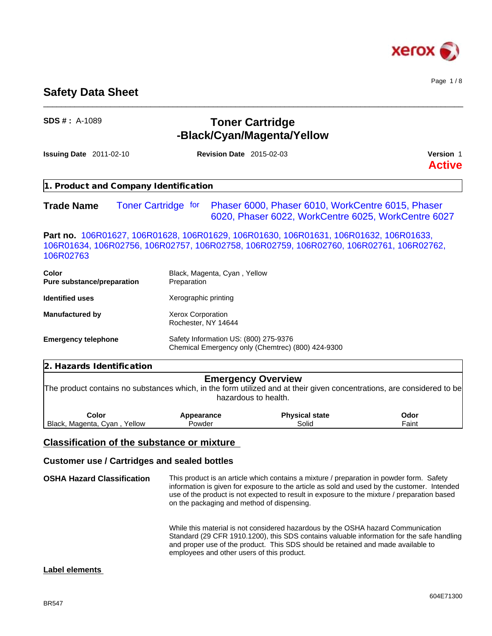

Page 1 / 8

# **Safety Data Sheet**

| $SDS # : A-1089$                                                                                                                                                                              | <b>Toner Cartridge</b><br>-Black/Cyan/Magenta/Yellow |                                                                                                          |                            |
|-----------------------------------------------------------------------------------------------------------------------------------------------------------------------------------------------|------------------------------------------------------|----------------------------------------------------------------------------------------------------------|----------------------------|
| <b>Issuing Date</b> 2011-02-10                                                                                                                                                                | <b>Revision Date 2015-02-03</b>                      |                                                                                                          | Version 1<br><b>Active</b> |
| . Product and Company Identification                                                                                                                                                          |                                                      |                                                                                                          |                            |
| <b>Toner Cartridge for</b><br><b>Trade Name</b>                                                                                                                                               |                                                      | Phaser 6000, Phaser 6010, WorkCentre 6015, Phaser<br>6020, Phaser 6022, WorkCentre 6025, WorkCentre 6027 |                            |
| Part no. 106R01627, 106R01628, 106R01629, 106R01630, 106R01631, 106R01632, 106R01633,<br>106R01634, 106R02756, 106R02757, 106R02758, 106R02759, 106R02760, 106R02761, 106R02762,<br>106R02763 |                                                      |                                                                                                          |                            |
| <b>Color</b><br>Pure substance/preparation                                                                                                                                                    | Black, Magenta, Cyan, Yellow<br>Preparation          |                                                                                                          |                            |
| <b>Identified uses</b>                                                                                                                                                                        | Xerographic printing                                 |                                                                                                          |                            |
| <b>Manufactured by</b>                                                                                                                                                                        | <b>Xerox Corporation</b><br>Rochester, NY 14644      |                                                                                                          |                            |
| <b>Emergency telephone</b>                                                                                                                                                                    | Safety Information US: (800) 275-9376                | Chemical Emergency only (Chemtrec) (800) 424-9300                                                        |                            |
| 2. Hazards Identification                                                                                                                                                                     |                                                      |                                                                                                          |                            |
| The product contains no substances which, in the form utilized and at their given concentrations, are considered to be                                                                        |                                                      | <b>Emergency Overview</b><br>hazardous to health.                                                        |                            |
| Color<br>Black, Magenta, Cyan, Yellow                                                                                                                                                         | Appearance<br>Powder                                 | <b>Physical state</b><br>Solid                                                                           | Odor<br>Faint              |
| <b>Classification of the substance or mixture</b>                                                                                                                                             |                                                      |                                                                                                          |                            |

\_\_\_\_\_\_\_\_\_\_\_\_\_\_\_\_\_\_\_\_\_\_\_\_\_\_\_\_\_\_\_\_\_\_\_\_\_\_\_\_\_\_\_\_\_\_\_\_\_\_\_\_\_\_\_\_\_\_\_\_\_\_\_\_\_\_\_\_\_\_\_\_\_\_\_\_\_\_\_\_\_\_\_\_\_\_\_\_\_\_\_\_\_\_

# **Customer use / Cartridges and sealed bottles**

**OSHA Hazard Classification** This product is an article which contains a mixture / preparation in powder form. Safety information is given for exposure to the article as sold and used by the customer. Intended use of the product is not expected to result in exposure to the mixture / preparation based on the packaging and method of dispensing. While this material is not considered hazardous by the OSHA hazard Communication Standard (29 CFR 1910.1200), this SDS contains valuable information for the safe handling and proper use of the product. This SDS should be retained and made available to

employees and other users of this product.

# **Label elements**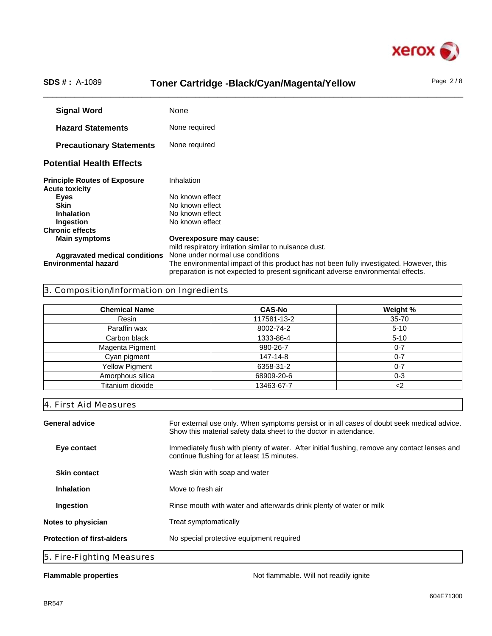

# SDS #: A-1089 **Toner Cartridge -Black/Cyan/Magenta/Yellow** Page 2/8

**Signal Word** None **Hazard Statements** None required **Precautionary Statements** None required **Potential Health Effects Principle Routes of Exposure** Inhalation **Acute toxicity Eyes** No known effect<br> **Skin** No known effect **No known effect Inhalation** No known effect **Ingestion** No known effect **Chronic effects Main symptoms Overexposure may cause:** mild respiratory irritation similar to nuisance dust. **Aggravated medical conditions** None under normal use conditions The environmental impact of this product has not been fully investigated. However, this preparation is not expected to present significant adverse environmental effects.

# 3. Composition/Information on Ingredients

| <b>Chemical Name</b>  | <b>CAS-No</b> | Weight %  |
|-----------------------|---------------|-----------|
| Resin                 | 117581-13-2   | $35 - 70$ |
| Paraffin wax          | 8002-74-2     | $5 - 10$  |
| Carbon black          | 1333-86-4     | $5 - 10$  |
| Magenta Pigment       | 980-26-7      | $0 - 7$   |
| Cyan pigment          | 147-14-8      | 0-7       |
| <b>Yellow Pigment</b> | 6358-31-2     | $0 - 7$   |
| Amorphous silica      | 68909-20-6    | 0-3       |
| Titanium dioxide      | 13463-67-7    | <2        |

4. First Aid Measures

| <b>General advice</b>             | For external use only. When symptoms persist or in all cases of doubt seek medical advice.<br>Show this material safety data sheet to the doctor in attendance. |  |
|-----------------------------------|-----------------------------------------------------------------------------------------------------------------------------------------------------------------|--|
| Eye contact                       | Immediately flush with plenty of water. After initial flushing, remove any contact lenses and<br>continue flushing for at least 15 minutes.                     |  |
| <b>Skin contact</b>               | Wash skin with soap and water                                                                                                                                   |  |
| <b>Inhalation</b>                 | Move to fresh air                                                                                                                                               |  |
| Ingestion                         | Rinse mouth with water and afterwards drink plenty of water or milk                                                                                             |  |
| Notes to physician                | Treat symptomatically                                                                                                                                           |  |
| <b>Protection of first-aiders</b> | No special protective equipment required                                                                                                                        |  |
| 5. Fire-Fighting Measures         |                                                                                                                                                                 |  |

**Flammable properties Not flammable. Will not readily ignite Not flammable. Will not readily ignite**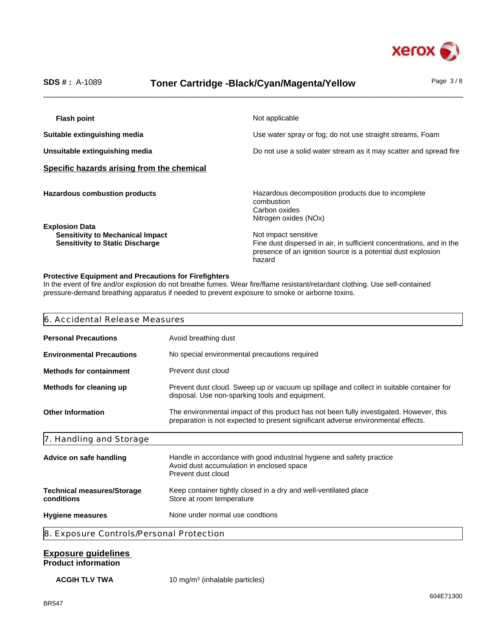

# SDS #: A-1089 **Toner Cartridge -Black/Cyan/Magenta/Yellow** Page 3/8

| <b>Flash point</b>                                                                                         | Not applicable                                                                                                                                                         |
|------------------------------------------------------------------------------------------------------------|------------------------------------------------------------------------------------------------------------------------------------------------------------------------|
| Suitable extinguishing media                                                                               | Use water spray or fog; do not use straight streams, Foam                                                                                                              |
| Unsuitable extinguishing media                                                                             | Do not use a solid water stream as it may scatter and spread fire                                                                                                      |
| Specific hazards arising from the chemical                                                                 |                                                                                                                                                                        |
| <b>Hazardous combustion products</b>                                                                       | Hazardous decomposition products due to incomplete<br>combustion<br>Carbon oxides<br>Nitrogen oxides (NOx)                                                             |
| <b>Explosion Data</b><br><b>Sensitivity to Mechanical Impact</b><br><b>Sensitivity to Static Discharge</b> | Not impact sensitive<br>Fine dust dispersed in air, in sufficient concentrations, and in the<br>presence of an ignition source is a potential dust explosion<br>hazard |

### **Protective Equipment and Precautions for Firefighters**

In the event of fire and/or explosion do not breathe fumes. Wear fire/flame resistant/retardant clothing. Use self-contained pressure-demand breathing apparatus if needed to prevent exposure to smoke or airborne toxins.

| 6. Accidental Release Measures                                                                                                                                         |                                                                                                                                                                              |  |
|------------------------------------------------------------------------------------------------------------------------------------------------------------------------|------------------------------------------------------------------------------------------------------------------------------------------------------------------------------|--|
| <b>Personal Precautions</b>                                                                                                                                            | Avoid breathing dust                                                                                                                                                         |  |
| <b>Environmental Precautions</b>                                                                                                                                       | No special environmental precautions required                                                                                                                                |  |
| <b>Methods for containment</b>                                                                                                                                         | Prevent dust cloud                                                                                                                                                           |  |
| Prevent dust cloud. Sweep up or vacuum up spillage and collect in suitable container for<br>Methods for cleaning up<br>disposal. Use non-sparking tools and equipment. |                                                                                                                                                                              |  |
| <b>Other Information</b>                                                                                                                                               | The environmental impact of this product has not been fully investigated. However, this<br>preparation is not expected to present significant adverse environmental effects. |  |
| 7. Handling and Storage                                                                                                                                                |                                                                                                                                                                              |  |
| Advice on safe handling                                                                                                                                                | Handle in accordance with good industrial hygiene and safety practice<br>Avoid dust accumulation in enclosed space<br>Prevent dust cloud                                     |  |
| <b>Technical measures/Storage</b><br>conditions                                                                                                                        | Keep container tightly closed in a dry and well-ventilated place<br>Store at room temperature                                                                                |  |
|                                                                                                                                                                        | None under normal use condtions                                                                                                                                              |  |

### **Exposure guidelines Product information**

**ACGIH TLV TWA** 10 mg/m<sup>3</sup> (inhalable particles)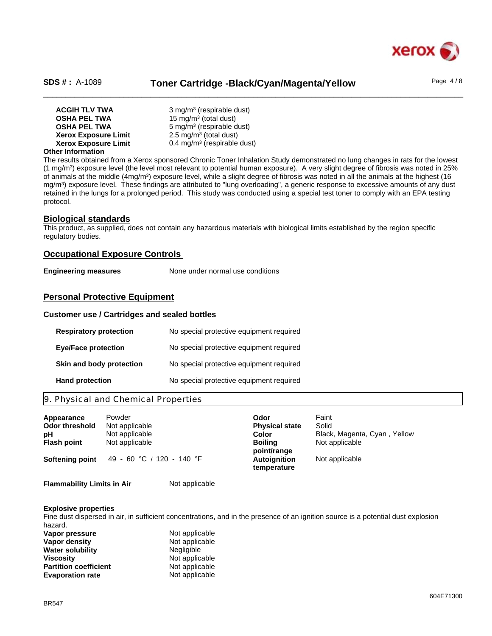

# SDS #: A-1089 **Toner Cartridge -Black/Cyan/Magenta/Yellow** Page 4/8

| <b>ACGIH TLV TWA</b>        | 3 mg/m <sup>3</sup> (respirable dust)   |
|-----------------------------|-----------------------------------------|
| <b>OSHA PEL TWA</b>         | 15 mg/m <sup>3</sup> (total dust)       |
| <b>OSHA PEL TWA</b>         | 5 mg/m <sup>3</sup> (respirable dust)   |
| <b>Xerox Exposure Limit</b> | $2.5 \text{ mg/m}^3$ (total dust)       |
| <b>Xerox Exposure Limit</b> | 0.4 mg/m <sup>3</sup> (respirable dust) |

#### **Other Information**

The results obtained from a Xerox sponsored Chronic Toner Inhalation Study demonstrated no lung changes in rats for the lowest (1 mg/m<sup>3</sup> ) exposure level (the level most relevant to potential human exposure). A very slight degree of fibrosis was noted in 25% of animals at the middle (4mg/m<sup>3</sup>) exposure level, while a slight degree of fibrosis was noted in all the animals at the highest (16 mg/m<sup>3</sup> ) exposure level. These findings are attributed to "lung overloading", a generic response to excessive amounts of any dust retained in the lungs for a prolonged period. This study was conducted using a special test toner to comply with an EPA testing protocol.

#### **Biological standards**

This product, as supplied, does not contain any hazardous materials with biological limits established by the region specific regulatory bodies.

### **Occupational Exposure Controls**

**Engineering measures** None under normal use conditions

### **Personal Protective Equipment**

#### **Customer use / Cartridges and sealed bottles**

| <b>Respiratory protection</b> | No special protective equipment required |
|-------------------------------|------------------------------------------|
| <b>Eye/Face protection</b>    | No special protective equipment required |
| Skin and body protection      | No special protective equipment required |
| <b>Hand protection</b>        | No special protective equipment required |

# 9. Physical and Chemical Properties

| Appearance            | Powder                    | Odor                               | Faint                        |
|-----------------------|---------------------------|------------------------------------|------------------------------|
| <b>Odor threshold</b> | Not applicable            | <b>Physical state</b>              | Solid                        |
| рH                    | Not applicable            | Color                              | Black, Magenta, Cyan, Yellow |
| <b>Flash point</b>    | Not applicable            | <b>Boiling</b><br>point/range      | Not applicable               |
| Softening point       | 49 - 60 °C / 120 - 140 °F | <b>Autoignition</b><br>temperature | Not applicable               |

**Flammability Limits in Air** Not applicable

#### **Explosive properties**

Fine dust dispersed in air, in sufficient concentrations, and in the presence of an ignition source is a potential dust explosion hazard.

| Vapor pressure               | Not applicable |  |
|------------------------------|----------------|--|
| Vapor density                | Not applicable |  |
| Water solubility             | Negligible     |  |
| Viscositv                    | Not applicable |  |
| <b>Partition coefficient</b> | Not applicable |  |
| <b>Evaporation rate</b>      | Not applicable |  |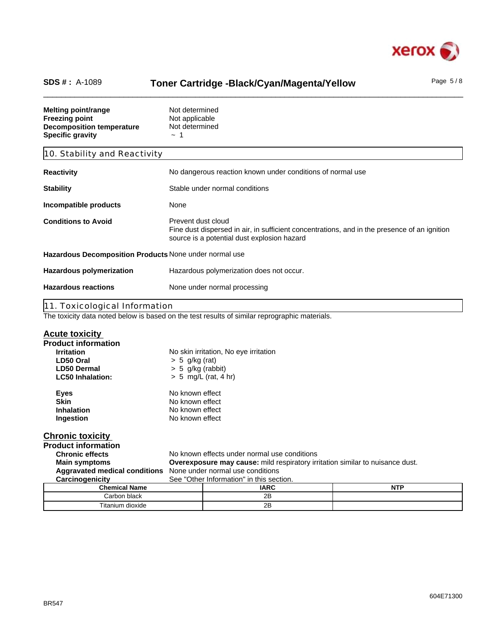

# SDS #: A-1089 **Toner Cartridge -Black/Cyan/Magenta/Yellow** Page 5/8

**Melting point/range** Not determined **Freezing point** Not applicable **Decomposition temperature** Not determined **Specific gravity**  $\sim 1$ 10. Stability and Reactivity **Reactivity Reactivity No dangerous reaction known under conditions of normal use Stability** Stable under normal conditions **Incompatible products** None **Conditions to Avoid** Prevent dust cloud Fine dust dispersed in air, in sufficient concentrations, and in the presence of an ignition source is a potential dust explosion hazard **Hazardous Decomposition Products** None under normal use **Hazardous polymerization** Hazardous polymerization does not occur. **Hazardous reactions** None under normal processing 11. Toxicological Information The toxicity data noted below is based on the test results of similar reprographic materials. **Acute toxicity Product information Irritation** No skin irritation, No eye irritation **LD50 Oral** > 5 g/kg (rat) **LD50 Dermal** > 5 g/kg (rabbit) **LC50 Inhalation:** > 5 mg/L (rat, 4 hr) **Eyes** No known effect<br> **Skin** No known effect **Skin**<br> **Skin**<br> **Inhalation**<br> **No known effect No known effect Ingestion** No known effect **Chronic toxicity Product information Chronic effects** No known effects under normal use conditions<br> **Main symptoms Coverexposure may cause:** mild respiratory in **Overexposure may cause:** mild respiratory irritation similar to nuisance dust.

**Aggravated medical conditions** None under normal use conditions

| <b>Carcillogenicity</b><br>ಀಀಀ | <b>Other implified in the section.</b> |     |
|--------------------------------|----------------------------------------|-----|
| <b>Chemical Name</b>           | <b>IARC</b>                            | NTP |
| Carbon black                   | 2Β                                     |     |
| Titanium dioxide               | nΕ<br>ᅩ                                |     |

Con "Other Information" in this section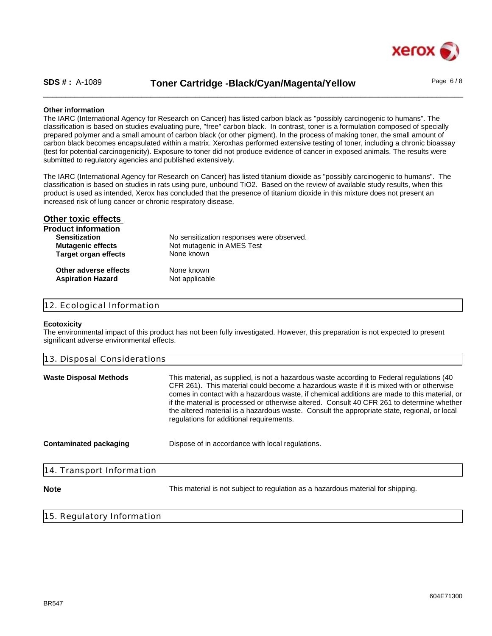

| <b>SDS #: A-1089</b> | Toner Cartridge -Black/Cyan/Magenta/Yellow | Page $6/8$ |
|----------------------|--------------------------------------------|------------|
|                      |                                            |            |

### **Other information**

The IARC (International Agency for Research on Cancer) has listed carbon black as "possibly carcinogenic to humans". The classification is based on studies evaluating pure, "free" carbon black. In contrast, toner is a formulation composed of specially prepared polymer and a small amount of carbon black (or other pigment). In the process of making toner, the small amount of carbon black becomes encapsulated within a matrix. Xeroxhas performed extensive testing of toner, including a chronic bioassay (test for potential carcinogenicity). Exposure to toner did not produce evidence of cancer in exposed animals. The results were submitted to regulatory agencies and published extensively.

The IARC (International Agency for Research on Cancer) has listed titanium dioxide as "possibly carcinogenic to humans". The classification is based on studies in rats using pure, unbound TiO2. Based on the review of available study results, when this product is used as intended, Xerox has concluded that the presence of titanium dioxide in this mixture does not present an increased risk of lung cancer or chronic respiratory disease.

| <b>Other toxic effects</b>  |                                           |
|-----------------------------|-------------------------------------------|
| <b>Product information</b>  |                                           |
| <b>Sensitization</b>        | No sensitization responses were observed. |
| <b>Mutagenic effects</b>    | Not mutagenic in AMES Test                |
| <b>Target organ effects</b> | None known                                |
| Other adverse effects       | None known                                |
| <b>Aspiration Hazard</b>    | Not applicable                            |
|                             |                                           |

# 12. Ecological Information

#### **Ecotoxicity**

The environmental impact of this product has not been fully investigated. However, this preparation is not expected to present significant adverse environmental effects.

| 13. Disposal Considerations   |                                                                                                                                                                                                                                                                                                                                                                                                                                                                                                                                 |
|-------------------------------|---------------------------------------------------------------------------------------------------------------------------------------------------------------------------------------------------------------------------------------------------------------------------------------------------------------------------------------------------------------------------------------------------------------------------------------------------------------------------------------------------------------------------------|
| <b>Waste Disposal Methods</b> | This material, as supplied, is not a hazardous waste according to Federal regulations (40)<br>CFR 261). This material could become a hazardous waste if it is mixed with or otherwise<br>comes in contact with a hazardous waste, if chemical additions are made to this material, or<br>if the material is processed or otherwise altered. Consult 40 CFR 261 to determine whether<br>the altered material is a hazardous waste. Consult the appropriate state, regional, or local<br>regulations for additional requirements. |
| Contaminated packaging        | Dispose of in accordance with local regulations.                                                                                                                                                                                                                                                                                                                                                                                                                                                                                |
| 14. Transport Information     |                                                                                                                                                                                                                                                                                                                                                                                                                                                                                                                                 |
| <b>Note</b>                   | This material is not subject to regulation as a hazardous material for shipping.                                                                                                                                                                                                                                                                                                                                                                                                                                                |
|                               |                                                                                                                                                                                                                                                                                                                                                                                                                                                                                                                                 |

15. Regulatory Information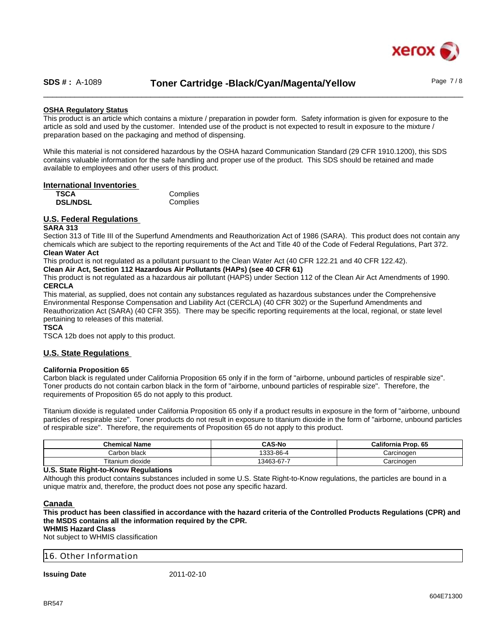

# SDS #: A-1089 **Toner Cartridge -Black/Cyan/Magenta/Yellow** Page 7/8

### **OSHA Regulatory Status**

This product is an article which contains a mixture / preparation in powder form. Safety information is given for exposure to the article as sold and used by the customer. Intended use of the product is not expected to result in exposure to the mixture / preparation based on the packaging and method of dispensing.

While this material is not considered hazardous by the OSHA hazard Communication Standard (29 CFR 1910.1200), this SDS contains valuable information for the safe handling and proper use of the product. This SDS should be retained and made available to employees and other users of this product.

#### **International Inventories**

| <b>TSCA</b>     | Complies |
|-----------------|----------|
| <b>DSL/NDSL</b> | Complies |

### **U.S. Federal Regulations**

#### **SARA 313**

Section 313 of Title III of the Superfund Amendments and Reauthorization Act of 1986 (SARA). This product does not contain any chemicals which are subject to the reporting requirements of the Act and Title 40 of the Code of Federal Regulations, Part 372. **Clean Water Act**

This product is not regulated as a pollutant pursuant to the Clean Water Act (40 CFR 122.21 and 40 CFR 122.42).

**Clean Air Act, Section 112 Hazardous Air Pollutants (HAPs) (see 40 CFR 61)**

This product is not regulated as a hazardous air pollutant (HAPS) under Section 112 of the Clean Air Act Amendments of 1990. **CERCLA**

This material, as supplied, does not contain any substances regulated as hazardous substances under the Comprehensive Environmental Response Compensation and Liability Act (CERCLA) (40 CFR 302) or the Superfund Amendments and Reauthorization Act (SARA) (40 CFR 355). There may be specific reporting requirements at the local, regional, or state level pertaining to releases of this material.

**TSCA**

TSCA 12b does not apply to this product.

# **U.S. State Regulations**

#### **California Proposition 65**

Carbon black is regulated under California Proposition 65 only if in the form of "airborne, unbound particles of respirable size". Toner products do not contain carbon black in the form of "airborne, unbound particles of respirable size". Therefore, the requirements of Proposition 65 do not apply to this product.

Titanium dioxide is regulated under California Proposition 65 only if a product results in exposure in the form of "airborne, unbound particles of respirable size". Toner products do not result in exposure to titanium dioxide in the form of "airborne, unbound particles of respirable size". Therefore, the requirements of Proposition 65 do not apply to this product.

| Chemical Name        | <b>CAS-No</b>                 | California Prop. 65 |
|----------------------|-------------------------------|---------------------|
| h black ו<br>شarbon. | ∕ -86∆.<br>$\sim$             | Carcinogen          |
| Titanium dioxide     | <b>13463</b><br>$.3 - 67 - 7$ | Carcinoger          |

#### **U.S. State Right-to-Know Regulations**

Although this product contains substances included in some U.S. State Right-to-Know regulations, the particles are bound in a unique matrix and, therefore, the product does not pose any specific hazard.

#### **Canada**

**This product has been classified in accordance with the hazard criteria of the Controlled Products Regulations (CPR) and the MSDS contains all the information required by the CPR.**

**WHMIS Hazard Class**

Not subject to WHMIS classification

16. Other Information

**Issuing Date** 2011-02-10